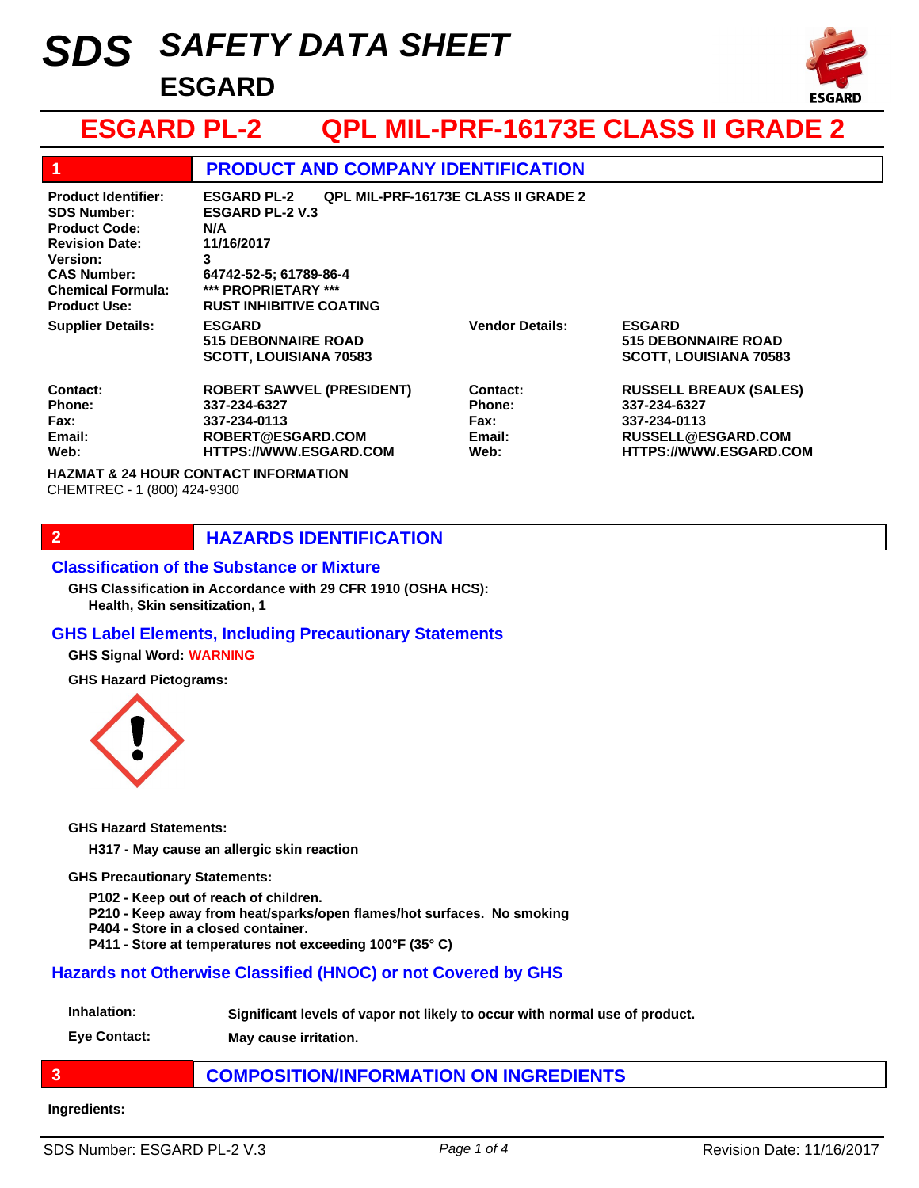# *SAFETY DATA SHEET SDS* **ESGARD**



# **ESGARD PL-2 QPL MIL-PRF-16173E CLASS II GRADE 2**

| 1                                                                                                                                                                                             | <b>PRODUCT AND COMPANY IDENTIFICATION</b>                                                                                                                                                               |                                                            |                                                                                                                      |
|-----------------------------------------------------------------------------------------------------------------------------------------------------------------------------------------------|---------------------------------------------------------------------------------------------------------------------------------------------------------------------------------------------------------|------------------------------------------------------------|----------------------------------------------------------------------------------------------------------------------|
| <b>Product Identifier:</b><br><b>SDS Number:</b><br><b>Product Code:</b><br><b>Revision Date:</b><br><b>Version:</b><br><b>CAS Number:</b><br><b>Chemical Formula:</b><br><b>Product Use:</b> | <b>QPL MIL-PRF-16173E CLASS II GRADE 2</b><br><b>ESGARD PL-2</b><br><b>ESGARD PL-2 V.3</b><br>N/A<br>11/16/2017<br>3<br>64742-52-5; 61789-86-4<br>*** PROPRIETARY ***<br><b>RUST INHIBITIVE COATING</b> |                                                            |                                                                                                                      |
| <b>Supplier Details:</b>                                                                                                                                                                      | <b>ESGARD</b><br><b>515 DEBONNAIRE ROAD</b><br><b>SCOTT, LOUISIANA 70583</b>                                                                                                                            | <b>Vendor Details:</b>                                     | <b>ESGARD</b><br><b>515 DEBONNAIRE ROAD</b><br><b>SCOTT, LOUISIANA 70583</b>                                         |
| Contact:<br>Phone:<br>Fax:<br>Email:<br>Web:                                                                                                                                                  | <b>ROBERT SAWVEL (PRESIDENT)</b><br>337-234-6327<br>337-234-0113<br>ROBERT@ESGARD.COM<br><b>HTTPS://WWW.ESGARD.COM</b>                                                                                  | Contact:<br><b>Phone:</b><br><b>Fax:</b><br>Email:<br>Web: | <b>RUSSELL BREAUX (SALES)</b><br>337-234-6327<br>337-234-0113<br>RUSSELL@ESGARD.COM<br><b>HTTPS://WWW.ESGARD.COM</b> |
| <b>HAZMAT &amp; 24 HOUR CONTACT INFORMATION</b><br>CHEMTREC - 1 (800) 424-9300                                                                                                                |                                                                                                                                                                                                         |                                                            |                                                                                                                      |

# **2 HAZARDS IDENTIFICATION**

#### **Classification of the Substance or Mixture**

**Health, Skin sensitization, 1 GHS Classification in Accordance with 29 CFR 1910 (OSHA HCS):**

### **GHS Label Elements, Including Precautionary Statements**

**GHS Signal Word: WARNING**

**GHS Hazard Pictograms:**



**GHS Hazard Statements:**

**H317 - May cause an allergic skin reaction**

#### **GHS Precautionary Statements:**

**P102 - Keep out of reach of children.**

**P210 - Keep away from heat/sparks/open flames/hot surfaces. No smoking**

- **P404 Store in a closed container.**
- **P411 Store at temperatures not exceeding 100°F (35° C)**

#### **Hazards not Otherwise Classified (HNOC) or not Covered by GHS**

**Inhalation: Significant levels of vapor not likely to occur with normal use of product.**

**Eye Contact: May cause irritation.**

# **3 COMPOSITION/INFORMATION ON INGREDIENTS**

#### **Ingredients:**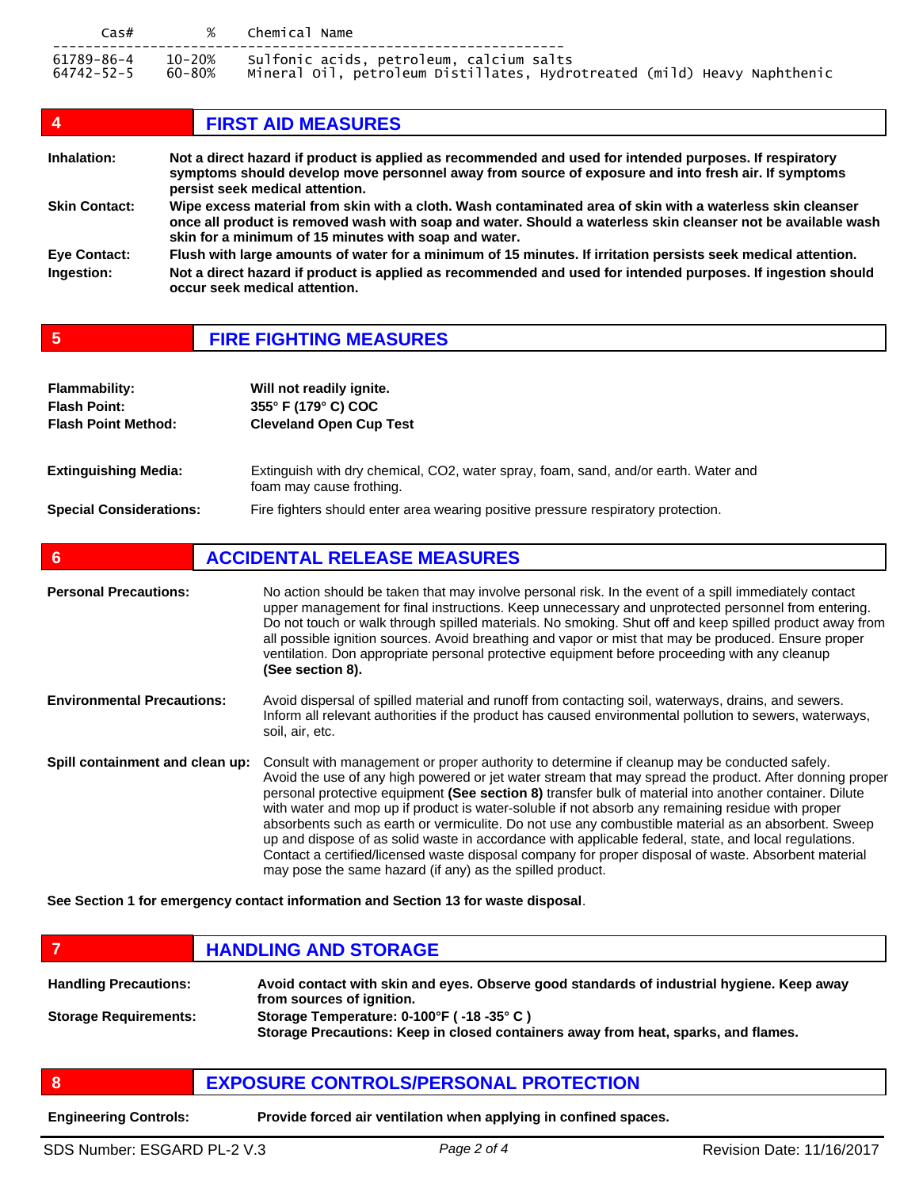| $\textsf{Cas}\#$         |        | % Chemical Name                                                                                                             |
|--------------------------|--------|-----------------------------------------------------------------------------------------------------------------------------|
| 61789-86-4<br>64742-52-5 | 60-80% | 10-20% Sulfonic acids, petroleum, calcium salts<br>Mineral Oil, petroleum Distillates, Hydrotreated (mild) Heavy Naphthenic |

| 4                                 | <b>FIRST AID MEASURES</b>                                                                                                                                                                                                                                                           |
|-----------------------------------|-------------------------------------------------------------------------------------------------------------------------------------------------------------------------------------------------------------------------------------------------------------------------------------|
| Inhalation:                       | Not a direct hazard if product is applied as recommended and used for intended purposes. If respiratory<br>symptoms should develop move personnel away from source of exposure and into fresh air. If symptoms<br>persist seek medical attention.                                   |
| <b>Skin Contact:</b>              | Wipe excess material from skin with a cloth. Wash contaminated area of skin with a waterless skin cleanser<br>once all product is removed wash with soap and water. Should a waterless skin cleanser not be available wash<br>skin for a minimum of 15 minutes with soap and water. |
| <b>Eye Contact:</b><br>Ingestion: | Flush with large amounts of water for a minimum of 15 minutes. If irritation persists seek medical attention.<br>Not a direct hazard if product is applied as recommended and used for intended purposes. If ingestion should<br>occur seek medical attention.                      |

# **5 FIRE FIGHTING MEASURES**

| <b>Flammability:</b><br><b>Flash Point:</b><br><b>Flash Point Method:</b> | Will not readily ignite.<br>355° F (179° C) COC<br><b>Cleveland Open Cup Test</b>                               |
|---------------------------------------------------------------------------|-----------------------------------------------------------------------------------------------------------------|
| <b>Extinguishing Media:</b>                                               | Extinguish with dry chemical, CO2, water spray, foam, sand, and/or earth. Water and<br>foam may cause frothing. |
| <b>Special Considerations:</b>                                            | Fire fighters should enter area wearing positive pressure respiratory protection.                               |

# **6 ACCIDENTAL RELEASE MEASURES**

| <b>Personal Precautions:</b>      | No action should be taken that may involve personal risk. In the event of a spill immediately contact<br>upper management for final instructions. Keep unnecessary and unprotected personnel from entering.<br>Do not touch or walk through spilled materials. No smoking. Shut off and keep spilled product away from<br>all possible ignition sources. Avoid breathing and vapor or mist that may be produced. Ensure proper<br>ventilation. Don appropriate personal protective equipment before proceeding with any cleanup<br>(See section 8).                                                                                                                                                                                                                                                         |
|-----------------------------------|-------------------------------------------------------------------------------------------------------------------------------------------------------------------------------------------------------------------------------------------------------------------------------------------------------------------------------------------------------------------------------------------------------------------------------------------------------------------------------------------------------------------------------------------------------------------------------------------------------------------------------------------------------------------------------------------------------------------------------------------------------------------------------------------------------------|
| <b>Environmental Precautions:</b> | Avoid dispersal of spilled material and runoff from contacting soil, waterways, drains, and sewers.<br>Inform all relevant authorities if the product has caused environmental pollution to sewers, waterways,<br>soil, air, etc.                                                                                                                                                                                                                                                                                                                                                                                                                                                                                                                                                                           |
| Spill containment and clean up:   | Consult with management or proper authority to determine if cleanup may be conducted safely.<br>Avoid the use of any high powered or jet water stream that may spread the product. After donning proper<br>personal protective equipment (See section 8) transfer bulk of material into another container. Dilute<br>with water and mop up if product is water-soluble if not absorb any remaining residue with proper<br>absorbents such as earth or vermiculite. Do not use any combustible material as an absorbent. Sweep<br>up and dispose of as solid waste in accordance with applicable federal, state, and local regulations.<br>Contact a certified/licensed waste disposal company for proper disposal of waste. Absorbent material<br>may pose the same hazard (if any) as the spilled product. |

**See Section 1 for emergency contact information and Section 13 for waste disposal**.

|                              | <b>HANDLING AND STORAGE</b>                                                                                                                                          |
|------------------------------|----------------------------------------------------------------------------------------------------------------------------------------------------------------------|
| <b>Handling Precautions:</b> | Avoid contact with skin and eyes. Observe good standards of industrial hygiene. Keep away<br>from sources of ignition.                                               |
| <b>Storage Requirements:</b> | Storage Temperature: 0-100°F (-18 -35°C)<br>$\bullet$ . The second contract of the second contract of the second contract of the second second $\theta$ . The second |

**Storage Precautions: Keep in closed containers away from heat, sparks, and flames.**

# **8 EXPOSURE CONTROLS/PERSONAL PROTECTION**

**Engineering Controls: Provide forced air ventilation when applying in confined spaces.**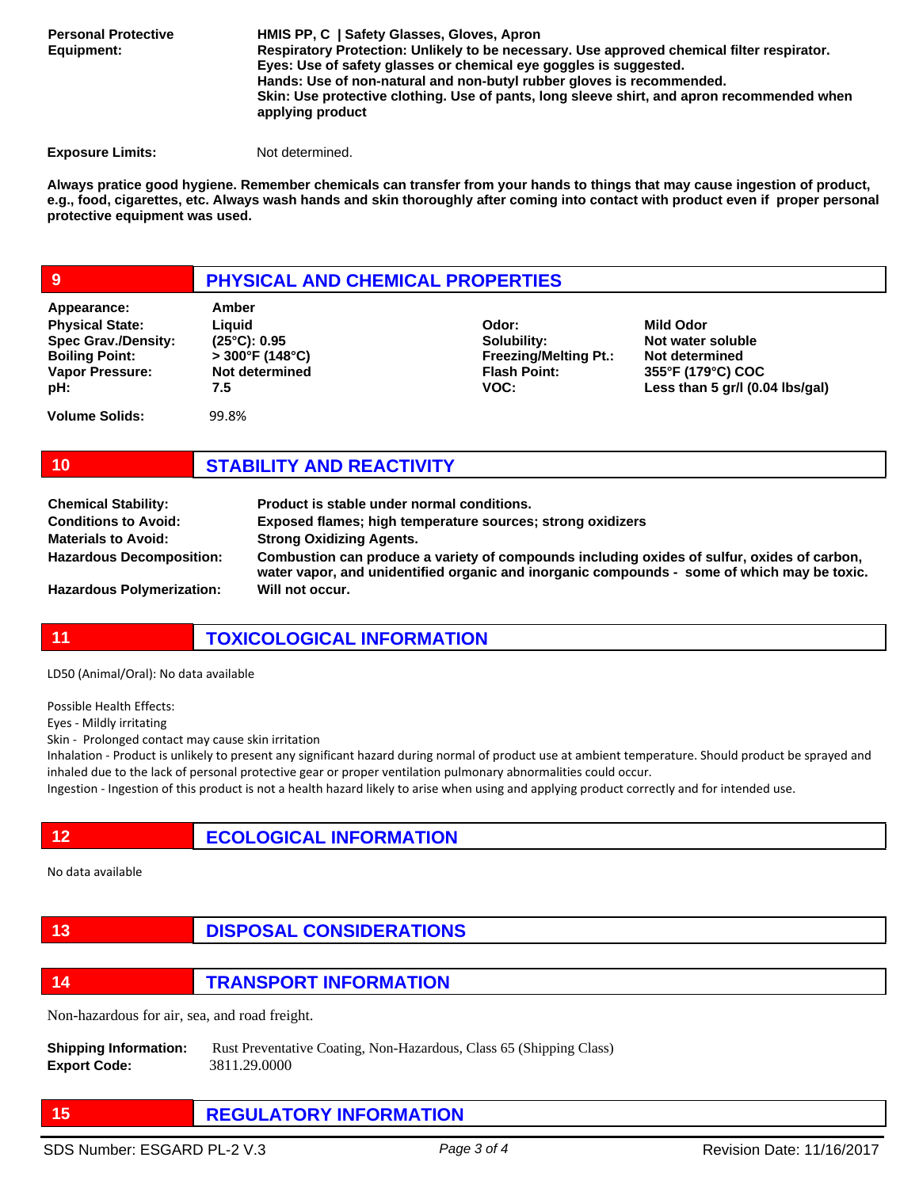**Personal Protective Equipment:**

**HMIS PP, C | Safety Glasses, Gloves, Apron Respiratory Protection: Unlikely to be necessary. Use approved chemical filter respirator. Eyes: Use of safety glasses or chemical eye goggles is suggested. Hands: Use of non-natural and non-butyl rubber gloves is recommended. Skin: Use protective clothing. Use of pants, long sleeve shirt, and apron recommended when applying product** 

**Exposure Limits:** Not determined.

**Always pratice good hygiene. Remember chemicals can transfer from your hands to things that may cause ingestion of product, e.g., food, cigarettes, etc. Always wash hands and skin thoroughly after coming into contact with product even if proper personal protective equipment was used.** 

## **9 PHYSICAL AND CHEMICAL PROPERTIES**

| Appearance:                                                                                                    | Amber                                                                                |                                                                                     |                                                                                                                 |
|----------------------------------------------------------------------------------------------------------------|--------------------------------------------------------------------------------------|-------------------------------------------------------------------------------------|-----------------------------------------------------------------------------------------------------------------|
| <b>Physical State:</b><br><b>Spec Grav./Density:</b><br><b>Boiling Point:</b><br><b>Vapor Pressure:</b><br>pH: | Liauid<br>$(25^{\circ}C): 0.95$<br>$>300^{\circ}$ F (148°C)<br>Not determined<br>7.5 | Odor:<br>Solubility:<br><b>Freezing/Melting Pt.:</b><br><b>Flash Point:</b><br>VOC: | <b>Mild Odor</b><br>Not water soluble<br>Not determined<br>355°F (179°C) COC<br>Less than 5 gr/l (0.04 lbs/gal) |
| <b>Volume Solids:</b>                                                                                          | 99.8%                                                                                |                                                                                     |                                                                                                                 |

# **10 STABILITY AND REACTIVITY**

| <b>Chemical Stability:</b>       | Product is stable under normal conditions.                                                                                                                                                 |
|----------------------------------|--------------------------------------------------------------------------------------------------------------------------------------------------------------------------------------------|
| <b>Conditions to Avoid:</b>      | Exposed flames; high temperature sources; strong oxidizers                                                                                                                                 |
| <b>Materials to Avoid:</b>       | <b>Strong Oxidizing Agents.</b>                                                                                                                                                            |
| <b>Hazardous Decomposition:</b>  | Combustion can produce a variety of compounds including oxides of sulfur, oxides of carbon,<br>water vapor, and unidentified organic and inorganic compounds - some of which may be toxic. |
| <b>Hazardous Polymerization:</b> | Will not occur.                                                                                                                                                                            |

# **11 TOXICOLOGICAL INFORMATION**

LD50 (Animal/Oral): No data available

Possible Health Effects:

Eyes - Mildly irritating

Skin - Prolonged contact may cause skin irritation

Inhalation - Product is unlikely to present any significant hazard during normal of product use at ambient temperature. Should product be sprayed and inhaled due to the lack of personal protective gear or proper ventilation pulmonary abnormalities could occur.

Ingestion - Ingestion of this product is not a health hazard likely to arise when using and applying product correctly and for intended use.

**12 ECOLOGICAL INFORMATION** 

No data available

# **13 DISPOSAL CONSIDERATIONS**

**14 TRANSPORT INFORMATION**

Non-hazardous for air, sea, and road freight.

**Shipping Information:** Rust Preventative Coating, Non-Hazardous, Class 65 (Shipping Class) **Export Code:** 3811.29.0000

**15 REGULATORY INFORMATION**